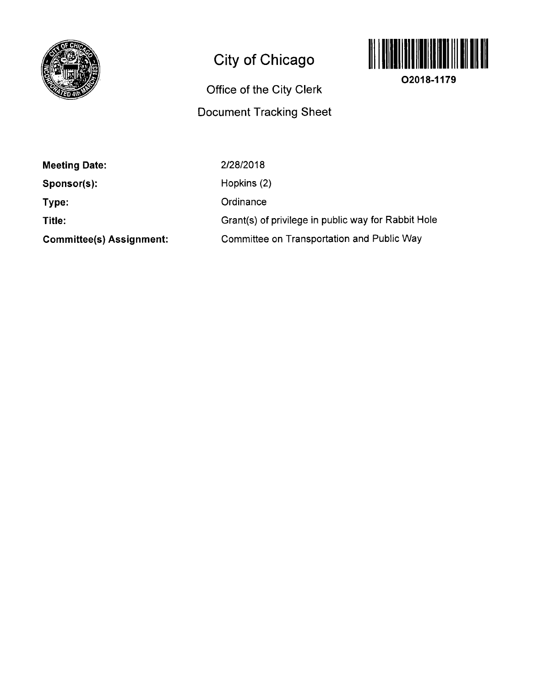

## **City of Chicago**

## **Office of the City Clerk Docunnent Tracking Sheet**



**02018-1179** 

| <b>Meeting Date:</b> |  |
|----------------------|--|
|----------------------|--|

**Sponsor(s):** 

**Type:** 

**Title:** 

**Committee(s) Assignment:** 

2/28/2018 Hopkins (2) **Ordinance** Grant(s) of privilege in public way for Rabbit Hole

Committee on Transportation and Public Way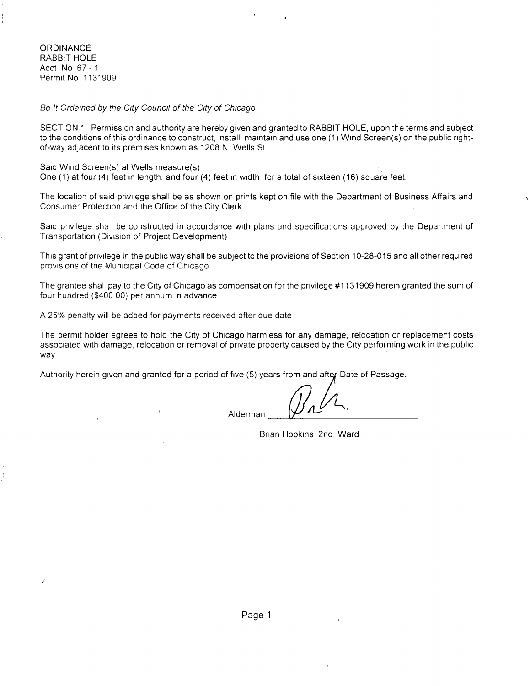**ORDINANCE** RABBIT HOLE Acct No 67-1 Permit No 1131909

Se It Ordained by the City Council of the City of Chicago

SECTION 1. Permission and authority are hereby given and granted to RABBIT HOLE, upon the terms and subject to the conditions of this ordinance to construct, install, maintain and use one (1) Wind Screen(s) on the public rightof-way adjacent to its premises known as 1208 N Wells St

Said Wind Screen(s) at Wells measure(s):

One (1) at four (4) feet in length, and four (4) feet in width for a total of sixteen (16) square feet.

The location of said privilege shall be as shown on prints kept on file with the Department of Business Affairs and Consumer Protection and the Office of the City Clerk.

Said privilege shall be constructed in accordance with plans and specifications approved by the Department of Transportation (Division of Project Development).

This grant of privilege in the public way shall be subject to the provisions of Section 10-28-015 and all other required provisions of the Municipal Code of Chicago

The grantee shall pay to the City of Chicago as compensation for the privilege #1131909 herein granted the sum of four hundred (\$400.00) per annum in advance.

A 25% penalty will be added for payments received after due date

Ť

The permit holder agrees to hold the City of Chicago harmless for any damage, relocation or replacement costs associated with damage, relocation or removal of private property caused by the City performing work in the public way

Authority herein given and granted for a period of five (5) years from and after Date of Passage.

Alderman

Brian Hopkins 2nd Ward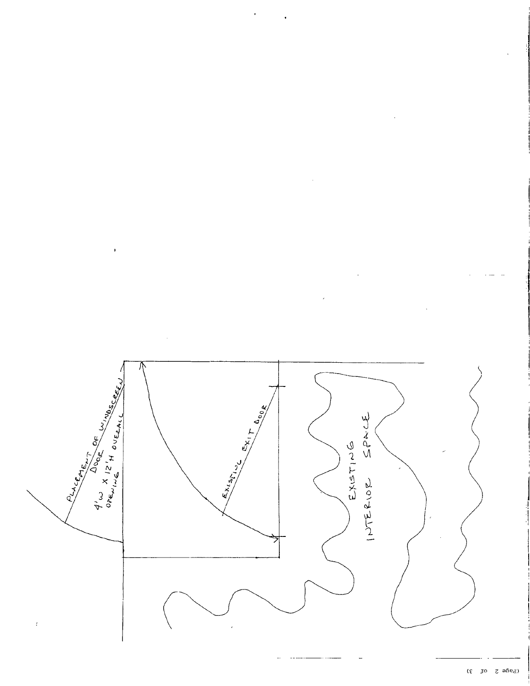

 $\epsilon$ 

 $(\xi - \text{p} \sigma - \xi - \text{p} \sigma)$